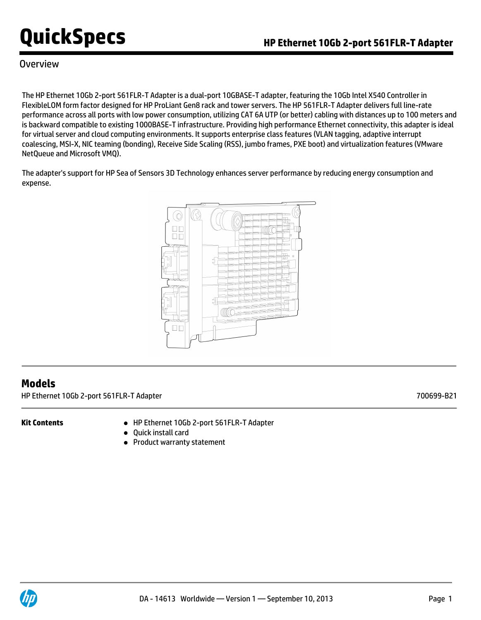### **Overview**

The HP Ethernet 10Gb 2-port 561FLR-T Adapter is a dual-port 10GBASE-T adapter, featuring the 10Gb Intel X540 Controller in FlexibleLOM form factor designed for HP ProLiant Gen8 rack and tower servers. The HP 561FLR-T Adapter delivers full line-rate performance across all ports with low power consumption, utilizing CAT 6A UTP (or better) cabling with distances up to 100 meters and is backward compatible to existing 1000BASE-T infrastructure. Providing high performance Ethernet connectivity, this adapter is ideal for virtual server and cloud computing environments. It supports enterprise class features (VLAN tagging, adaptive interrupt coalescing, MSI-X, NIC teaming (bonding), Receive Side Scaling (RSS), jumbo frames, PXE boot) and virtualization features (VMware NetQueue and Microsoft VMQ).

The adapter's support for HP Sea of Sensors 3D Technology enhances server performance by reducing energy consumption and expense.



### **Models**

HP Ethernet 10Gb 2-port 561FLR-T Adapter 700699-B21

- **Kit Contents** HP Ethernet 10Gb 2-port 561FLR-T Adapter
	- Quick install card
	- Product warranty statement

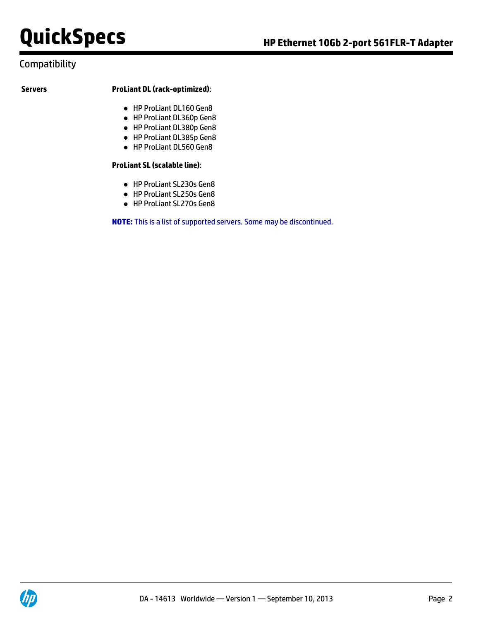### Compatibility

#### **Servers ProLiant DL (rack-optimized)**:

- HP ProLiant DL160 Gen8
- HP ProLiant DL360p Gen8
- HP ProLiant DL380p Gen8
- HP ProLiant DL385p Gen8
- HP ProLiant DL560 Gen8

#### **ProLiant SL (scalable line)**:

- HP ProLiant SL230s Gen8
- HP ProLiant SL250s Gen8
- HP ProLiant SL270s Gen8

**NOTE:** This is a list of supported servers. Some may be discontinued.

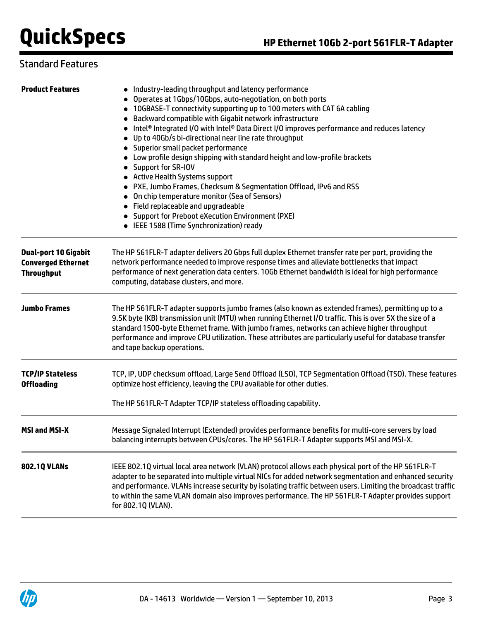### Standard Features

| <b>Product Features</b>                                                       | • Industry-leading throughput and latency performance<br>• Operates at 1Gbps/10Gbps, auto-negotiation, on both ports<br>• 10GBASE-T connectivity supporting up to 100 meters with CAT 6A cabling<br>• Backward compatible with Gigabit network infrastructure<br>• Intel® Integrated I/O with Intel® Data Direct I/O improves performance and reduces latency<br>• Up to 40Gb/s bi-directional near line rate throughput<br>• Superior small packet performance<br>• Low profile design shipping with standard height and low-profile brackets<br>• Support for SR-IOV<br>• Active Health Systems support<br>• PXE, Jumbo Frames, Checksum & Segmentation Offload, IPv6 and RSS<br>• On chip temperature monitor (Sea of Sensors)<br>• Field replaceable and upgradeable<br>• Support for Preboot eXecution Environment (PXE)<br>• IEEE 1588 (Time Synchronization) ready |  |  |
|-------------------------------------------------------------------------------|---------------------------------------------------------------------------------------------------------------------------------------------------------------------------------------------------------------------------------------------------------------------------------------------------------------------------------------------------------------------------------------------------------------------------------------------------------------------------------------------------------------------------------------------------------------------------------------------------------------------------------------------------------------------------------------------------------------------------------------------------------------------------------------------------------------------------------------------------------------------------|--|--|
| <b>Dual-port 10 Gigabit</b><br><b>Converged Ethernet</b><br><b>Throughput</b> | The HP 561FLR-T adapter delivers 20 Gbps full duplex Ethernet transfer rate per port, providing the<br>network performance needed to improve response times and alleviate bottlenecks that impact<br>performance of next generation data centers. 10Gb Ethernet bandwidth is ideal for high performance<br>computing, database clusters, and more.                                                                                                                                                                                                                                                                                                                                                                                                                                                                                                                        |  |  |
| <b>Jumbo Frames</b>                                                           | The HP 561FLR-T adapter supports jumbo frames (also known as extended frames), permitting up to a<br>9.5K byte (KB) transmission unit (MTU) when running Ethernet I/O traffic. This is over 5X the size of a<br>standard 1500-byte Ethernet frame. With jumbo frames, networks can achieve higher throughput<br>performance and improve CPU utilization. These attributes are particularly useful for database transfer<br>and tape backup operations.                                                                                                                                                                                                                                                                                                                                                                                                                    |  |  |
| <b>TCP/IP Stateless</b><br><b>Offloading</b>                                  | TCP, IP, UDP checksum offload, Large Send Offload (LSO), TCP Segmentation Offload (TSO). These features<br>optimize host efficiency, leaving the CPU available for other duties.<br>The HP 561FLR-T Adapter TCP/IP stateless offloading capability.                                                                                                                                                                                                                                                                                                                                                                                                                                                                                                                                                                                                                       |  |  |
| <b>MSI and MSI-X</b>                                                          | Message Signaled Interrupt (Extended) provides performance benefits for multi-core servers by load<br>balancing interrupts between CPUs/cores. The HP 561FLR-T Adapter supports MSI and MSI-X.                                                                                                                                                                                                                                                                                                                                                                                                                                                                                                                                                                                                                                                                            |  |  |
| 802.1Q VLANs                                                                  | IEEE 802.1Q virtual local area network (VLAN) protocol allows each physical port of the HP 561FLR-T<br>adapter to be separated into multiple virtual NICs for added network segmentation and enhanced security<br>and performance. VLANs increase security by isolating traffic between users. Limiting the broadcast traffic<br>to within the same VLAN domain also improves performance. The HP 561FLR-T Adapter provides support<br>for 802.1Q (VLAN).                                                                                                                                                                                                                                                                                                                                                                                                                 |  |  |

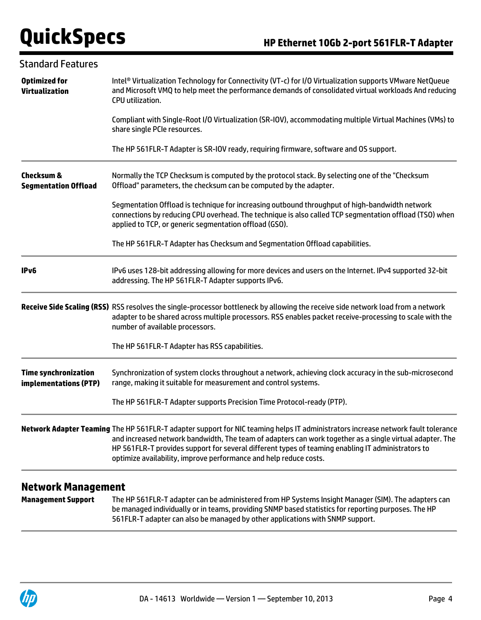| <b>Standard Features</b>                             |                                                                                                                                                                                                                                                                                                                                                                                                                        |  |  |
|------------------------------------------------------|------------------------------------------------------------------------------------------------------------------------------------------------------------------------------------------------------------------------------------------------------------------------------------------------------------------------------------------------------------------------------------------------------------------------|--|--|
| <b>Optimized for</b><br><b>Virtualization</b>        | Intel® Virtualization Technology for Connectivity (VT-c) for I/O Virtualization supports VMware NetQueue<br>and Microsoft VMQ to help meet the performance demands of consolidated virtual workloads And reducing<br>CPU utilization.                                                                                                                                                                                  |  |  |
|                                                      | Compliant with Single-Root I/O Virtualization (SR-IOV), accommodating multiple Virtual Machines (VMs) to<br>share single PCIe resources.                                                                                                                                                                                                                                                                               |  |  |
|                                                      | The HP 561FLR-T Adapter is SR-IOV ready, requiring firmware, software and OS support.                                                                                                                                                                                                                                                                                                                                  |  |  |
| <b>Checksum &amp;</b><br><b>Segmentation Offload</b> | Normally the TCP Checksum is computed by the protocol stack. By selecting one of the "Checksum<br>Offload" parameters, the checksum can be computed by the adapter.                                                                                                                                                                                                                                                    |  |  |
|                                                      | Segmentation Offload is technique for increasing outbound throughput of high-bandwidth network<br>connections by reducing CPU overhead. The technique is also called TCP segmentation offload (TSO) when<br>applied to TCP, or generic segmentation offload (GSO).                                                                                                                                                     |  |  |
|                                                      | The HP 561FLR-T Adapter has Checksum and Segmentation Offload capabilities.                                                                                                                                                                                                                                                                                                                                            |  |  |
| IPv6                                                 | IPv6 uses 128-bit addressing allowing for more devices and users on the Internet. IPv4 supported 32-bit<br>addressing. The HP 561FLR-T Adapter supports IPv6.                                                                                                                                                                                                                                                          |  |  |
|                                                      | Receive Side Scaling (RSS) RSS resolves the single-processor bottleneck by allowing the receive side network load from a network<br>adapter to be shared across multiple processors. RSS enables packet receive-processing to scale with the<br>number of available processors.                                                                                                                                        |  |  |
|                                                      | The HP 561FLR-T Adapter has RSS capabilities.                                                                                                                                                                                                                                                                                                                                                                          |  |  |
| <b>Time synchronization</b><br>implementations (PTP) | Synchronization of system clocks throughout a network, achieving clock accuracy in the sub-microsecond<br>range, making it suitable for measurement and control systems.                                                                                                                                                                                                                                               |  |  |
|                                                      | The HP 561FLR-T Adapter supports Precision Time Protocol-ready (PTP).                                                                                                                                                                                                                                                                                                                                                  |  |  |
|                                                      | Network Adapter Teaming The HP 561FLR-T adapter support for NIC teaming helps IT administrators increase network fault tolerance<br>and increased network bandwidth, The team of adapters can work together as a single virtual adapter. The<br>HP 561FLR-T provides support for several different types of teaming enabling IT administrators to<br>optimize availability, improve performance and help reduce costs. |  |  |

### **Network Management**

**Management Support** The HP 561FLR-T adapter can be administered from HP Systems Insight Manager (SIM). The adapters can be managed individually or in teams, providing SNMP based statistics for reporting purposes. The HP 561FLR-T adapter can also be managed by other applications with SNMP support.

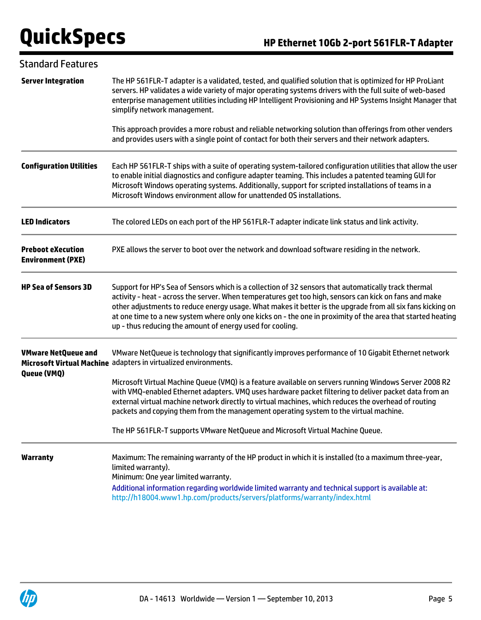| <b>Standard Features</b>                             |                                                                                                                                                                                                                                                                                                                                                                                                                                                                                                          |  |  |
|------------------------------------------------------|----------------------------------------------------------------------------------------------------------------------------------------------------------------------------------------------------------------------------------------------------------------------------------------------------------------------------------------------------------------------------------------------------------------------------------------------------------------------------------------------------------|--|--|
| <b>Server Integration</b>                            | The HP 561FLR-T adapter is a validated, tested, and qualified solution that is optimized for HP ProLiant<br>servers. HP validates a wide variety of major operating systems drivers with the full suite of web-based<br>enterprise management utilities including HP Intelligent Provisioning and HP Systems Insight Manager that<br>simplify network management.                                                                                                                                        |  |  |
|                                                      | This approach provides a more robust and reliable networking solution than offerings from other venders<br>and provides users with a single point of contact for both their servers and their network adapters.                                                                                                                                                                                                                                                                                          |  |  |
| <b>Configuration Utilities</b>                       | Each HP 561FLR-T ships with a suite of operating system-tailored configuration utilities that allow the user<br>to enable initial diagnostics and configure adapter teaming. This includes a patented teaming GUI for<br>Microsoft Windows operating systems. Additionally, support for scripted installations of teams in a<br>Microsoft Windows environment allow for unattended OS installations.                                                                                                     |  |  |
| <b>LED Indicators</b>                                | The colored LEDs on each port of the HP 561FLR-T adapter indicate link status and link activity.                                                                                                                                                                                                                                                                                                                                                                                                         |  |  |
| <b>Preboot eXecution</b><br><b>Environment (PXE)</b> | PXE allows the server to boot over the network and download software residing in the network.                                                                                                                                                                                                                                                                                                                                                                                                            |  |  |
| <b>HP Sea of Sensors 3D</b>                          | Support for HP's Sea of Sensors which is a collection of 32 sensors that automatically track thermal<br>activity - heat - across the server. When temperatures get too high, sensors can kick on fans and make<br>other adjustments to reduce energy usage. What makes it better is the upgrade from all six fans kicking on<br>at one time to a new system where only one kicks on - the one in proximity of the area that started heating<br>up - thus reducing the amount of energy used for cooling. |  |  |
| <b>VMware NetQueue and</b>                           | VMware NetQueue is technology that significantly improves performance of 10 Gigabit Ethernet network<br>Microsoft Virtual Machine adapters in virtualized environments.                                                                                                                                                                                                                                                                                                                                  |  |  |
| Queue (VMQ)                                          | Microsoft Virtual Machine Queue (VMQ) is a feature available on servers running Windows Server 2008 R2<br>with VMQ-enabled Ethernet adapters. VMQ uses hardware packet filtering to deliver packet data from an<br>external virtual machine network directly to virtual machines, which reduces the overhead of routing<br>packets and copying them from the management operating system to the virtual machine.                                                                                         |  |  |
|                                                      | The HP 561FLR-T supports VMware NetQueue and Microsoft Virtual Machine Queue.                                                                                                                                                                                                                                                                                                                                                                                                                            |  |  |
| <b>Warranty</b>                                      | Maximum: The remaining warranty of the HP product in which it is installed (to a maximum three-year,<br>limited warranty).<br>Minimum: One year limited warranty.                                                                                                                                                                                                                                                                                                                                        |  |  |
|                                                      | Additional information regarding worldwide limited warranty and technical support is available at:<br>http://h18004.www1.hp.com/products/servers/platforms/warranty/index.html                                                                                                                                                                                                                                                                                                                           |  |  |

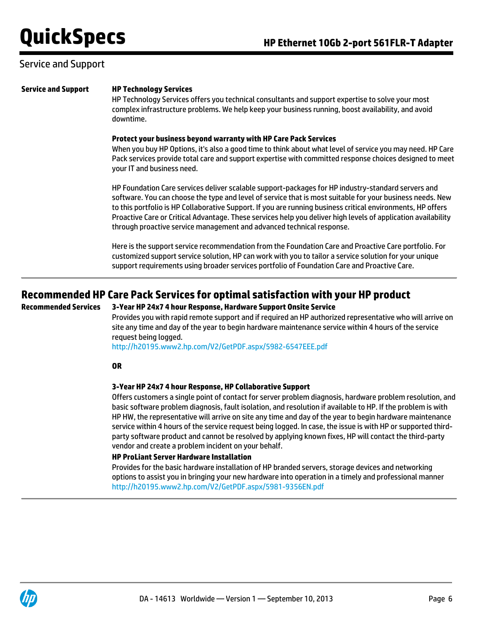### Service and Support

#### **Service and Support HP Technology Services**

HP Technology Services offers you technical consultants and support expertise to solve your most complex infrastructure problems. We help keep your business running, boost availability, and avoid downtime.

#### **Protect your business beyond warranty with HP Care Pack Services**

When you buy HP Options, it's also a good time to think about what level of service you may need. HP Care Pack services provide total care and support expertise with committed response choices designed to meet your IT and business need.

HP Foundation Care services deliver scalable support-packages for HP industry-standard servers and software. You can choose the type and level of service that is most suitable for your business needs. New to this portfolio is HP Collaborative Support. If you are running business critical environments, HP offers Proactive Care or Critical Advantage. These services help you deliver high levels of application availability through proactive service management and advanced technical response.

Here is the support service recommendation from the Foundation Care and Proactive Care portfolio. For customized support service solution, HP can work with you to tailor a service solution for your unique support requirements using broader services portfolio of Foundation Care and Proactive Care.

### **Recommended HP Care Pack Services for optimal satisfaction with your HP product**

#### **Recommended Services 3-Year HP 24x7 4 hour Response, Hardware Support Onsite Service**

Provides you with rapid remote support and if required an HP authorized representative who will arrive on site any time and day of the year to begin hardware maintenance service within 4 hours of the service request being logged.

<http://h20195.www2.hp.com/V2/GetPDF.aspx/5982-6547EEE.pdf>

#### **OR**

#### **3-Year HP 24x7 4 hour Response, HP Collaborative Support**

Offers customers a single point of contact for server problem diagnosis, hardware problem resolution, and basic software problem diagnosis, fault isolation, and resolution if available to HP. If the problem is with HP HW, the representative will arrive on site any time and day of the year to begin hardware maintenance service within 4 hours of the service request being logged. In case, the issue is with HP or supported thirdparty software product and cannot be resolved by applying known fixes, HP will contact the third-party vendor and create a problem incident on your behalf.

#### **HP ProLiant Server Hardware Installation**

Provides for the basic hardware installation of HP branded servers, storage devices and networking options to assist you in bringing your new hardware into operation in a timely and professional manner <http://h20195.www2.hp.com/V2/GetPDF.aspx/5981-9356EN.pdf>

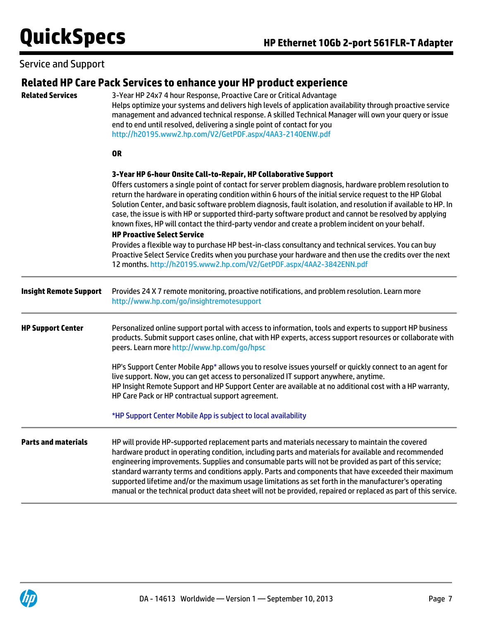### Service and Support

| <b>Related Services</b>       | Related HP Care Pack Services to enhance your HP product experience<br>3-Year HP 24x7 4 hour Response, Proactive Care or Critical Advantage<br>Helps optimize your systems and delivers high levels of application availability through proactive service<br>management and advanced technical response. A skilled Technical Manager will own your query or issue<br>end to end until resolved, delivering a single point of contact for you<br>http://h20195.www2.hp.com/V2/GetPDF.aspx/4AA3-2140ENW.pdf                                                                                                                                                                                                                                                                                                                                                                                                                                                  |  |  |  |
|-------------------------------|------------------------------------------------------------------------------------------------------------------------------------------------------------------------------------------------------------------------------------------------------------------------------------------------------------------------------------------------------------------------------------------------------------------------------------------------------------------------------------------------------------------------------------------------------------------------------------------------------------------------------------------------------------------------------------------------------------------------------------------------------------------------------------------------------------------------------------------------------------------------------------------------------------------------------------------------------------|--|--|--|
|                               | <b>OR</b>                                                                                                                                                                                                                                                                                                                                                                                                                                                                                                                                                                                                                                                                                                                                                                                                                                                                                                                                                  |  |  |  |
|                               | 3-Year HP 6-hour Onsite Call-to-Repair, HP Collaborative Support<br>Offers customers a single point of contact for server problem diagnosis, hardware problem resolution to<br>return the hardware in operating condition within 6 hours of the initial service request to the HP Global<br>Solution Center, and basic software problem diagnosis, fault isolation, and resolution if available to HP. In<br>case, the issue is with HP or supported third-party software product and cannot be resolved by applying<br>known fixes, HP will contact the third-party vendor and create a problem incident on your behalf.<br><b>HP Proactive Select Service</b><br>Provides a flexible way to purchase HP best-in-class consultancy and technical services. You can buy<br>Proactive Select Service Credits when you purchase your hardware and then use the credits over the next<br>12 months. http://h20195.www2.hp.com/V2/GetPDF.aspx/4AA2-3842ENN.pdf |  |  |  |
| <b>Insight Remote Support</b> | Provides 24 X 7 remote monitoring, proactive notifications, and problem resolution. Learn more<br>http://www.hp.com/go/insightremotesupport                                                                                                                                                                                                                                                                                                                                                                                                                                                                                                                                                                                                                                                                                                                                                                                                                |  |  |  |
| <b>HP Support Center</b>      | Personalized online support portal with access to information, tools and experts to support HP business<br>products. Submit support cases online, chat with HP experts, access support resources or collaborate with<br>peers. Learn more http://www.hp.com/go/hpsc                                                                                                                                                                                                                                                                                                                                                                                                                                                                                                                                                                                                                                                                                        |  |  |  |
|                               | HP's Support Center Mobile App* allows you to resolve issues yourself or quickly connect to an agent for<br>live support. Now, you can get access to personalized IT support anywhere, anytime.<br>HP Insight Remote Support and HP Support Center are available at no additional cost with a HP warranty,<br>HP Care Pack or HP contractual support agreement.                                                                                                                                                                                                                                                                                                                                                                                                                                                                                                                                                                                            |  |  |  |
|                               | *HP Support Center Mobile App is subject to local availability                                                                                                                                                                                                                                                                                                                                                                                                                                                                                                                                                                                                                                                                                                                                                                                                                                                                                             |  |  |  |
| <b>Parts and materials</b>    | HP will provide HP-supported replacement parts and materials necessary to maintain the covered<br>hardware product in operating condition, including parts and materials for available and recommended<br>engineering improvements. Supplies and consumable parts will not be provided as part of this service;<br>standard warranty terms and conditions apply. Parts and components that have exceeded their maximum<br>supported lifetime and/or the maximum usage limitations as set forth in the manufacturer's operating<br>manual or the technical product data sheet will not be provided, repaired or replaced as part of this service.                                                                                                                                                                                                                                                                                                           |  |  |  |

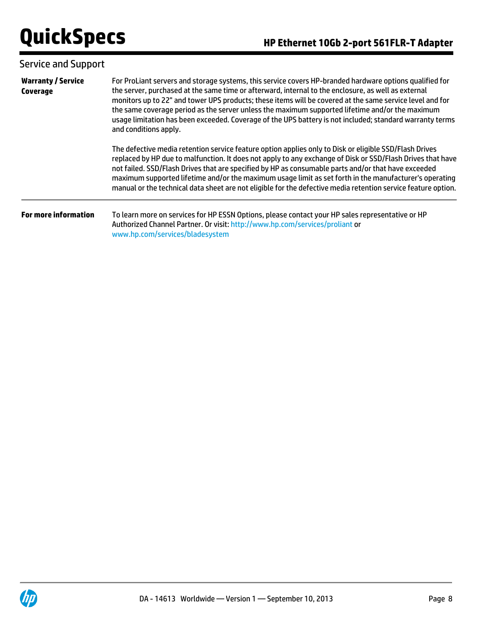| <b>Service and Support</b>                   |                                                                                                                                                                                                                                                                                                                                                                                                                                                                                                                                                                    |  |
|----------------------------------------------|--------------------------------------------------------------------------------------------------------------------------------------------------------------------------------------------------------------------------------------------------------------------------------------------------------------------------------------------------------------------------------------------------------------------------------------------------------------------------------------------------------------------------------------------------------------------|--|
| <b>Warranty / Service</b><br><b>Coverage</b> | For ProLiant servers and storage systems, this service covers HP-branded hardware options qualified for<br>the server, purchased at the same time or afterward, internal to the enclosure, as well as external<br>monitors up to 22" and tower UPS products; these items will be covered at the same service level and for<br>the same coverage period as the server unless the maximum supported lifetime and/or the maximum<br>usage limitation has been exceeded. Coverage of the UPS battery is not included; standard warranty terms<br>and conditions apply. |  |
|                                              | The defective media retention service feature option applies only to Disk or eligible SSD/Flash Drives<br>replaced by HP due to malfunction. It does not apply to any exchange of Disk or SSD/Flash Drives that have<br>not failed. SSD/Flash Drives that are specified by HP as consumable parts and/or that have exceeded<br>maximum supported lifetime and/or the maximum usage limit as set forth in the manufacturer's operating<br>manual or the technical data sheet are not eligible for the defective media retention service feature option.             |  |
| <b>For more information</b>                  | To learn more on services for HP ESSN Options, please contact your HP sales representative or HP<br>Authorized Channel Partner. Or visit: http://www.hp.com/services/proliant or<br>www.hp.com/services/bladesystem                                                                                                                                                                                                                                                                                                                                                |  |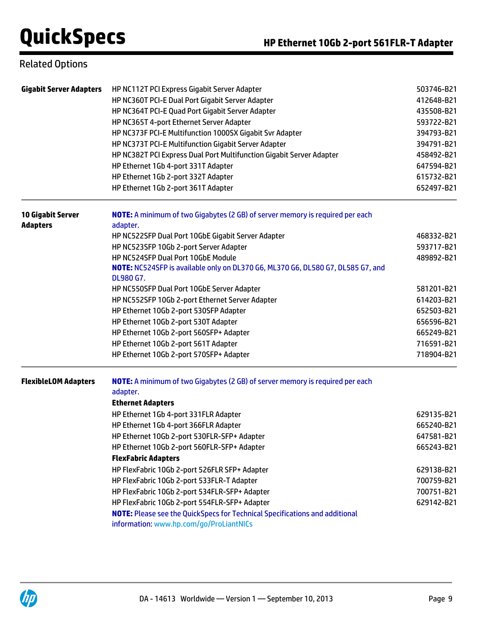## Related Options

| <b>Gigabit Server Adapters</b>              | HP NC112T PCI Express Gigabit Server Adapter<br>HP NC360T PCI-E Dual Port Gigabit Server Adapter<br>HP NC364T PCI-E Quad Port Gigabit Server Adapter<br>HP NC365T 4-port Ethernet Server Adapter<br>HP NC373F PCI-E Multifunction 1000SX Gigabit Svr Adapter<br>HP NC373T PCI-E Multifunction Gigabit Server Adapter<br>HP NC382T PCI Express Dual Port Multifunction Gigabit Server Adapter<br>HP Ethernet 1Gb 4-port 331T Adapter<br>HP Ethernet 1Gb 2-port 332T Adapter<br>HP Ethernet 1Gb 2-port 361T Adapter                                                                                                                                                            | 503746-B21<br>412648-B21<br>435508-B21<br>593722-B21<br>394793-B21<br>394791-B21<br>458492-B21<br>647594-B21<br>615732-B21<br>652497-B21 |
|---------------------------------------------|------------------------------------------------------------------------------------------------------------------------------------------------------------------------------------------------------------------------------------------------------------------------------------------------------------------------------------------------------------------------------------------------------------------------------------------------------------------------------------------------------------------------------------------------------------------------------------------------------------------------------------------------------------------------------|------------------------------------------------------------------------------------------------------------------------------------------|
| <b>10 Gigabit Server</b><br><b>Adapters</b> | <b>NOTE:</b> A minimum of two Gigabytes (2 GB) of server memory is required per each<br>adapter.<br>HP NC522SFP Dual Port 10GbE Gigabit Server Adapter<br>HP NC523SFP 10Gb 2-port Server Adapter<br>HP NC524SFP Dual Port 10GbE Module<br>NOTE: NC524SFP is available only on DL370 G6, ML370 G6, DL580 G7, DL585 G7, and<br>DL980 G7.<br>HP NC550SFP Dual Port 10GbE Server Adapter<br>HP NC552SFP 10Gb 2-port Ethernet Server Adapter<br>HP Ethernet 10Gb 2-port 530SFP Adapter                                                                                                                                                                                            | 468332-B21<br>593717-B21<br>489892-B21<br>581201-B21<br>614203-B21<br>652503-B21                                                         |
|                                             | HP Ethernet 10Gb 2-port 530T Adapter<br>HP Ethernet 10Gb 2-port 560SFP+ Adapter<br>HP Ethernet 10Gb 2-port 561T Adapter<br>HP Ethernet 10Gb 2-port 570SFP+ Adapter                                                                                                                                                                                                                                                                                                                                                                                                                                                                                                           | 656596-B21<br>665249-B21<br>716591-B21<br>718904-B21                                                                                     |
| <b>FlexibleLOM Adapters</b>                 | <b>NOTE:</b> A minimum of two Gigabytes (2 GB) of server memory is required per each<br>adapter.<br><b>Ethernet Adapters</b><br>HP Ethernet 1Gb 4-port 331FLR Adapter<br>HP Ethernet 1Gb 4-port 366FLR Adapter<br>HP Ethernet 10Gb 2-port 530FLR-SFP+ Adapter<br>HP Ethernet 10Gb 2-port 560FLR-SFP+ Adapter<br><b>FlexFabric Adapters</b><br>HP FlexFabric 10Gb 2-port 526FLR SFP+ Adapter<br>HP FlexFabric 10Gb 2-port 533FLR-T Adapter<br>HP FlexFabric 10Gb 2-port 534FLR-SFP+ Adapter<br>HP FlexFabric 10Gb 2-port 554FLR-SFP+ Adapter<br><b>NOTE:</b> Please see the QuickSpecs for Technical Specifications and additional<br>information: www.hp.com/go/ProLiantNICs | 629135-B21<br>665240-B21<br>647581-B21<br>665243-B21<br>629138-B21<br>700759-B21<br>700751-B21<br>629142-B21                             |

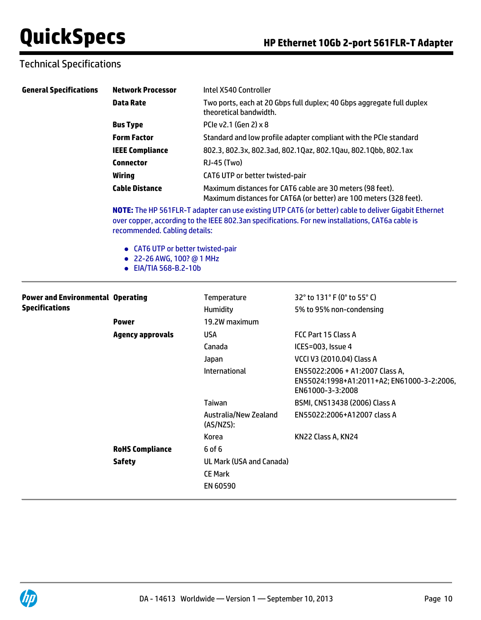## Technical Specifications

| <b>General Specifications</b>            | <b>Network Processor</b>                                                                                                                                                                                                                                                                                                              | Intel X540 Controller                                                                                                                                                             |                                                                                                   |  |
|------------------------------------------|---------------------------------------------------------------------------------------------------------------------------------------------------------------------------------------------------------------------------------------------------------------------------------------------------------------------------------------|-----------------------------------------------------------------------------------------------------------------------------------------------------------------------------------|---------------------------------------------------------------------------------------------------|--|
|                                          | <b>Data Rate</b>                                                                                                                                                                                                                                                                                                                      | Two ports, each at 20 Gbps full duplex; 40 Gbps aggregate full duplex<br>theoretical bandwidth.<br>PCle v2.1 (Gen 2) x 8                                                          |                                                                                                   |  |
|                                          | <b>Bus Type</b>                                                                                                                                                                                                                                                                                                                       |                                                                                                                                                                                   |                                                                                                   |  |
|                                          | <b>Form Factor</b>                                                                                                                                                                                                                                                                                                                    |                                                                                                                                                                                   | Standard and low profile adapter compliant with the PCIe standard                                 |  |
|                                          | <b>IEEE Compliance</b>                                                                                                                                                                                                                                                                                                                |                                                                                                                                                                                   | 802.3, 802.3x, 802.3ad, 802.1Qaz, 802.1Qau, 802.1Qbb, 802.1ax                                     |  |
|                                          | <b>Connector</b>                                                                                                                                                                                                                                                                                                                      | RJ-45 (Two)<br>CAT6 UTP or better twisted-pair<br>Maximum distances for CAT6 cable are 30 meters (98 feet).<br>Maximum distances for CAT6A (or better) are 100 meters (328 feet). |                                                                                                   |  |
|                                          | <b>Wiring</b>                                                                                                                                                                                                                                                                                                                         |                                                                                                                                                                                   |                                                                                                   |  |
|                                          | <b>Cable Distance</b>                                                                                                                                                                                                                                                                                                                 |                                                                                                                                                                                   |                                                                                                   |  |
|                                          | NOTE: The HP 561FLR-T adapter can use existing UTP CAT6 (or better) cable to deliver Gigabit Ethernet<br>over copper, according to the IEEE 802.3an specifications. For new installations, CAT6a cable is<br>recommended. Cabling details:<br>• CAT6 UTP or better twisted-pair<br>• 22-26 AWG, 100? @ 1 MHz<br>• EIA/TIA 568-B.2-10b |                                                                                                                                                                                   |                                                                                                   |  |
| <b>Power and Environmental Operating</b> |                                                                                                                                                                                                                                                                                                                                       | Temperature                                                                                                                                                                       | 32° to 131° F (0° to 55° C)                                                                       |  |
| <b>Specifications</b>                    |                                                                                                                                                                                                                                                                                                                                       | Humidity                                                                                                                                                                          | 5% to 95% non-condensing                                                                          |  |
|                                          | Power                                                                                                                                                                                                                                                                                                                                 | 19.2W maximum                                                                                                                                                                     |                                                                                                   |  |
|                                          | <b>Agency approvals</b>                                                                                                                                                                                                                                                                                                               | <b>USA</b>                                                                                                                                                                        | FCC Part 15 Class A                                                                               |  |
|                                          |                                                                                                                                                                                                                                                                                                                                       | Canada                                                                                                                                                                            | ICES=003, Issue 4                                                                                 |  |
|                                          |                                                                                                                                                                                                                                                                                                                                       | Japan                                                                                                                                                                             | VCCI V3 (2010.04) Class A                                                                         |  |
|                                          |                                                                                                                                                                                                                                                                                                                                       | International                                                                                                                                                                     | EN55022:2006 + A1:2007 Class A,<br>EN55024:1998+A1:2011+A2; EN61000-3-2:2006,<br>EN61000-3-3:2008 |  |
|                                          |                                                                                                                                                                                                                                                                                                                                       | Taiwan                                                                                                                                                                            | BSMI, CNS13438 (2006) Class A                                                                     |  |
|                                          |                                                                                                                                                                                                                                                                                                                                       | Australia/New Zealand<br>(AS/NZS):                                                                                                                                                | EN55022:2006+A12007 class A                                                                       |  |
|                                          |                                                                                                                                                                                                                                                                                                                                       | Korea                                                                                                                                                                             | KN22 Class A, KN24                                                                                |  |
|                                          | <b>RoHS Compliance</b>                                                                                                                                                                                                                                                                                                                | 6 of 6                                                                                                                                                                            |                                                                                                   |  |
|                                          | <b>Safety</b>                                                                                                                                                                                                                                                                                                                         | UL Mark (USA and Canada)                                                                                                                                                          |                                                                                                   |  |
|                                          |                                                                                                                                                                                                                                                                                                                                       | <b>CE Mark</b>                                                                                                                                                                    |                                                                                                   |  |
|                                          |                                                                                                                                                                                                                                                                                                                                       | EN 60590                                                                                                                                                                          |                                                                                                   |  |
|                                          |                                                                                                                                                                                                                                                                                                                                       |                                                                                                                                                                                   |                                                                                                   |  |